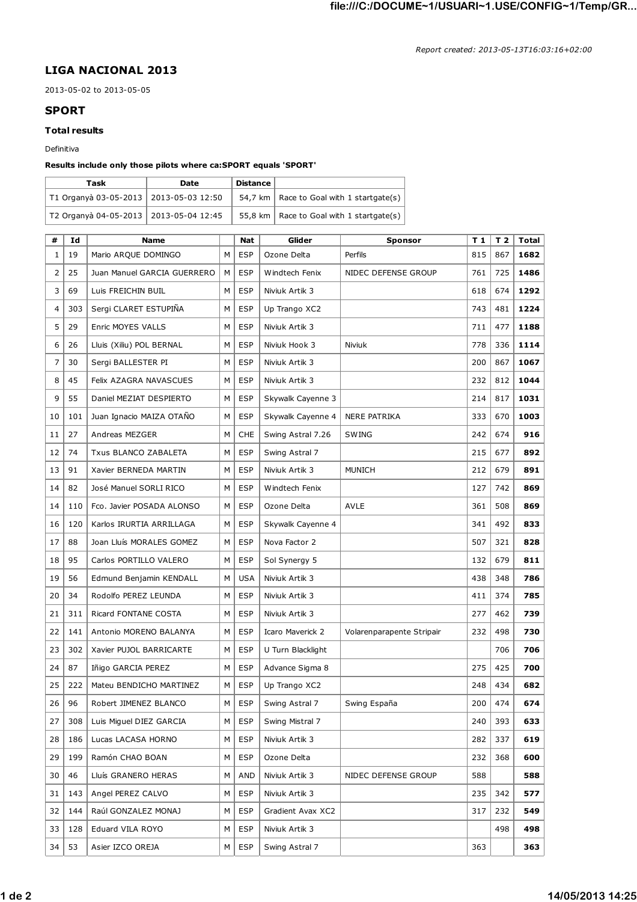## **LIGA NACIONAL 2013**

2013-05-02 to 2013-05-05

## **SPORT**

## **Total results**

Definitiva

## **Results include only those pilots where ca:SPORT equals 'SPORT'**

| Task                                     | Date | Distance |                                            |
|------------------------------------------|------|----------|--------------------------------------------|
| T1 Organyà 03-05-2013   2013-05-03 12:50 |      |          | 54,7 km   Race to Goal with 1 startgate(s) |
| T2 Organyà 04-05-2013   2013-05-04 12:45 |      |          | 55,8 km   Race to Goal with 1 startgate(s) |

| #  | Id  | <b>Name</b>                 |   | <b>Nat</b> | Glider            | <b>Sponsor</b>            | T <sub>1</sub> | T <sub>2</sub> | Total |
|----|-----|-----------------------------|---|------------|-------------------|---------------------------|----------------|----------------|-------|
| 1  | 19  | Mario ARQUE DOMINGO         | M | <b>ESP</b> | Ozone Delta       | Perfils                   | 815            | 867            | 1682  |
| 2  | 25  | Juan Manuel GARCIA GUERRERO | M | <b>ESP</b> | Windtech Fenix    | NIDEC DEFENSE GROUP       | 761            | 725            | 1486  |
| 3  | 69  | Luis FREICHIN BUIL          | м | <b>ESP</b> | Niviuk Artik 3    |                           | 618            | 674            | 1292  |
| 4  | 303 | Sergi CLARET ESTUPIÑA       | М | <b>ESP</b> | Up Trango XC2     |                           | 743            | 481            | 1224  |
| 5  | 29  | Enric MOYES VALLS           | м | <b>ESP</b> | Niviuk Artik 3    |                           | 711            | 477            | 1188  |
| 6  | 26  | Lluis (Xiliu) POL BERNAL    | М | <b>ESP</b> | Niviuk Hook 3     | Niviuk                    | 778            | 336            | 1114  |
| 7  | 30  | Sergi BALLESTER PI          | М | <b>ESP</b> | Niviuk Artik 3    |                           | 200            | 867            | 1067  |
| 8  | 45  | Felix AZAGRA NAVASCUES      | М | <b>ESP</b> | Niviuk Artik 3    |                           | 232            | 812            | 1044  |
| 9  | 55  | Daniel MEZIAT DESPIERTO     | М | <b>ESP</b> | Skywalk Cayenne 3 |                           | 214            | 817            | 1031  |
| 10 | 101 | Juan Ignacio MAIZA OTAÑO    | м | <b>ESP</b> | Skywalk Cayenne 4 | <b>NERE PATRIKA</b>       | 333            | 670            | 1003  |
| 11 | 27  | Andreas MEZGER              | M | <b>CHE</b> | Swing Astral 7.26 | <b>SWING</b>              | 242            | 674            | 916   |
| 12 | 74  | Txus BLANCO ZABALETA        | М | <b>ESP</b> | Swing Astral 7    |                           | 215            | 677            | 892   |
| 13 | 91  | Xavier BERNEDA MARTIN       | М | <b>ESP</b> | Niviuk Artik 3    | <b>MUNICH</b>             | 212            | 679            | 891   |
| 14 | 82  | José Manuel SORLI RICO      | М | <b>ESP</b> | Windtech Fenix    |                           | 127            | 742            | 869   |
| 14 | 110 | Fco. Javier POSADA ALONSO   | M | <b>ESP</b> | Ozone Delta       | <b>AVLE</b>               | 361            | 508            | 869   |
| 16 | 120 | Karlos IRURTIA ARRILLAGA    | M | <b>ESP</b> | Skywalk Cayenne 4 |                           | 341            | 492            | 833   |
| 17 | 88  | Joan Lluís MORALES GOMEZ    | M | <b>ESP</b> | Nova Factor 2     |                           | 507            | 321            | 828   |
| 18 | 95  | Carlos PORTILLO VALERO      | М | <b>ESP</b> | Sol Synergy 5     |                           | 132            | 679            | 811   |
| 19 | 56  | Edmund Benjamin KENDALL     | м | <b>USA</b> | Niviuk Artik 3    |                           | 438            | 348            | 786   |
| 20 | 34  | Rodolfo PEREZ LEUNDA        | м | <b>ESP</b> | Niviuk Artik 3    |                           | 411            | 374            | 785   |
| 21 | 311 | Ricard FONTANE COSTA        | M | <b>ESP</b> | Niviuk Artik 3    |                           | 277            | 462            | 739   |
| 22 | 141 | Antonio MORENO BALANYA      | м | <b>ESP</b> | Icaro Maverick 2  | Volarenparapente Stripair | 232            | 498            | 730   |
| 23 | 302 | Xavier PUJOL BARRICARTE     | м | <b>ESP</b> | U Turn Blacklight |                           |                | 706            | 706   |
| 24 | 87  | Iñigo GARCIA PEREZ          | м | <b>ESP</b> | Advance Sigma 8   |                           | 275            | 425            | 700   |
| 25 | 222 | Mateu BENDICHO MARTINEZ     | м | <b>ESP</b> | Up Trango XC2     |                           | 248            | 434            | 682   |
| 26 | 96  | Robert JIMENEZ BLANCO       | м | <b>ESP</b> | Swing Astral 7    | Swing España              | 200            | 474            | 674   |
| 27 | 308 | Luis Miguel DIEZ GARCIA     | М | <b>ESP</b> | Swing Mistral 7   |                           | 240            | 393            | 633   |
| 28 | 186 | Lucas LACASA HORNO          | м | <b>ESP</b> | Niviuk Artik 3    |                           | 282            | 337            | 619   |
| 29 | 199 | Ramón CHAO BOAN             | м | <b>ESP</b> | Ozone Delta       |                           | 232            | 368            | 600   |
| 30 | 46  | Lluís GRANERO HERAS         | м | <b>AND</b> | Niviuk Artik 3    | NIDEC DEFENSE GROUP       | 588            |                | 588   |
| 31 | 143 | Angel PEREZ CALVO           | м | <b>ESP</b> | Niviuk Artik 3    |                           | 235            | 342            | 577   |
| 32 | 144 | Raúl GONZALEZ MONAJ         | м | ESP        | Gradient Avax XC2 |                           | 317            | 232            | 549   |
| 33 | 128 | Eduard VILA ROYO            | м | <b>ESP</b> | Niviuk Artik 3    |                           |                | 498            | 498   |
| 34 | 53  | Asier IZCO OREJA            | М | <b>ESP</b> | Swing Astral 7    |                           | 363            |                | 363   |